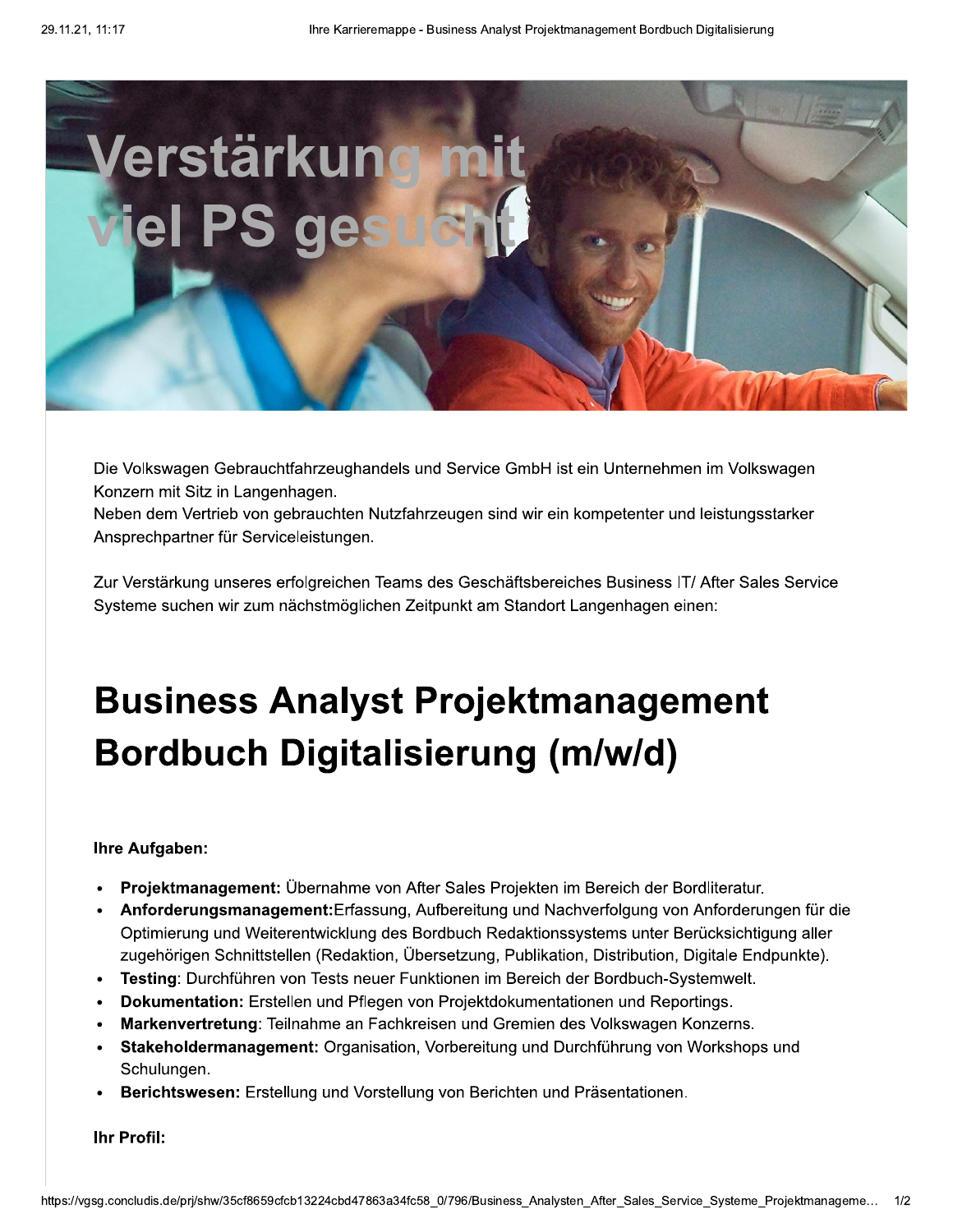

Die Volkswagen Gebrauchtfahrzeughandels und Service GmbH ist ein Unternehmen im Volkswagen Konzern mit Sitz in Langenhagen.

Neben dem Vertrieb von gebrauchten Nutzfahrzeugen sind wir ein kompetenter und leistungsstarker Ansprechpartner für Serviceleistungen.

Zur Verstärkung unseres erfolgreichen Teams des Geschäftsbereiches Business IT/ After Sales Service Systeme suchen wir zum nächstmöglichen Zeitpunkt am Standort Langenhagen einen:

## **Business Analyst Projektmanagement Bordbuch Digitalisierung (m/w/d)**

## **Ihre Aufgaben:**

- Projektmanagement: Übernahme von After Sales Projekten im Bereich der Bordliteratur.
- Anforderungsmanagement: Erfassung, Aufbereitung und Nachverfolgung von Anforderungen für die Optimierung und Weiterentwicklung des Bordbuch Redaktionssystems unter Berücksichtigung aller zugehörigen Schnittstellen (Redaktion, Übersetzung, Publikation, Distribution, Digitale Endpunkte).
- Testing: Durchführen von Tests neuer Funktionen im Bereich der Bordbuch-Systemwelt.  $\bullet$
- Dokumentation: Erstellen und Pflegen von Projektdokumentationen und Reportings.
- Markenvertretung: Teilnahme an Fachkreisen und Gremien des Volkswagen Konzerns.  $\bullet$
- Stakeholdermanagement: Organisation, Vorbereitung und Durchführung von Workshops und Schulungen.
- Berichtswesen: Erstellung und Vorstellung von Berichten und Präsentationen.

Ihr Profil: